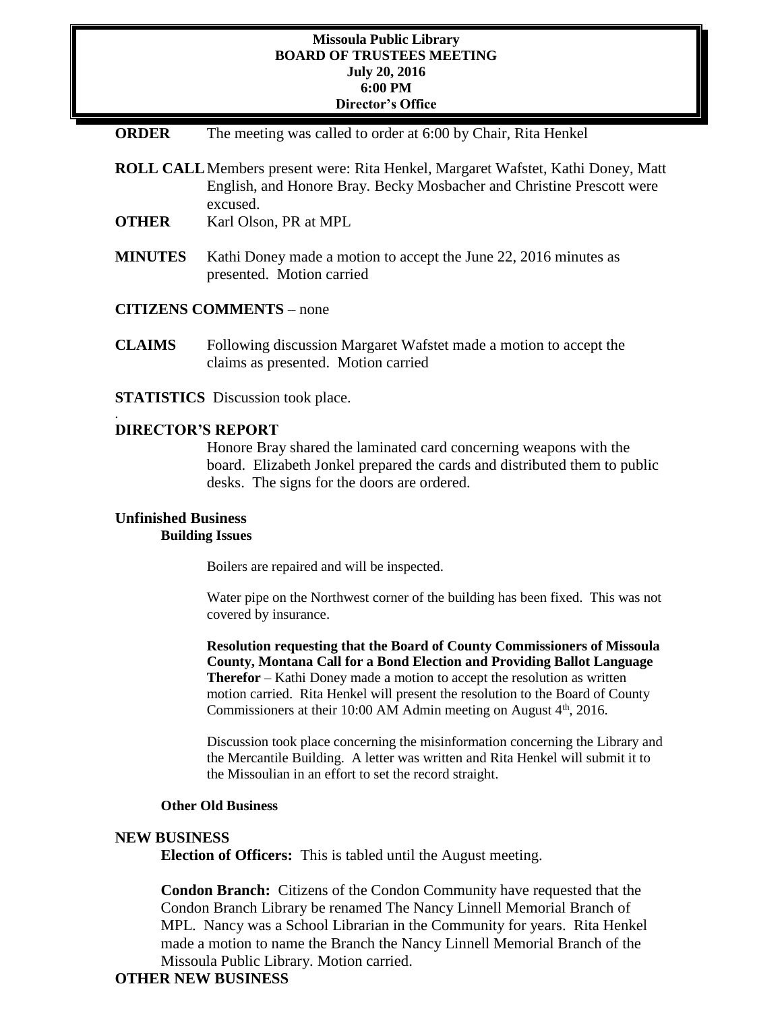#### **Missoula Public Library BOARD OF TRUSTEES MEETING July 20, 2016 6:00 PM Director's Office**

**ORDER** The meeting was called to order at 6:00 by Chair, Rita Henkel

**ROLL CALL**Members present were: Rita Henkel, Margaret Wafstet, Kathi Doney, Matt English, and Honore Bray. Becky Mosbacher and Christine Prescott were excused.

- **OTHER** Karl Olson, PR at MPL
- **MINUTES** Kathi Doney made a motion to accept the June 22, 2016 minutes as presented. Motion carried
- **CITIZENS COMMENTS**  none
- **CLAIMS** Following discussion Margaret Wafstet made a motion to accept the claims as presented. Motion carried
- **STATISTICS** Discussion took place.

### **DIRECTOR'S REPORT**

.

Honore Bray shared the laminated card concerning weapons with the board. Elizabeth Jonkel prepared the cards and distributed them to public desks. The signs for the doors are ordered.

# **Unfinished Business**

# **Building Issues**

Boilers are repaired and will be inspected.

Water pipe on the Northwest corner of the building has been fixed. This was not covered by insurance.

**Resolution requesting that the Board of County Commissioners of Missoula County, Montana Call for a Bond Election and Providing Ballot Language Therefor** – Kathi Doney made a motion to accept the resolution as written motion carried. Rita Henkel will present the resolution to the Board of County Commissioners at their 10:00 AM Admin meeting on August  $4<sup>th</sup>$ , 2016.

Discussion took place concerning the misinformation concerning the Library and the Mercantile Building. A letter was written and Rita Henkel will submit it to the Missoulian in an effort to set the record straight.

#### **Other Old Business**

#### **NEW BUSINESS**

**Election of Officers:** This is tabled until the August meeting.

**Condon Branch:** Citizens of the Condon Community have requested that the Condon Branch Library be renamed The Nancy Linnell Memorial Branch of MPL. Nancy was a School Librarian in the Community for years. Rita Henkel made a motion to name the Branch the Nancy Linnell Memorial Branch of the Missoula Public Library. Motion carried.

## **OTHER NEW BUSINESS**